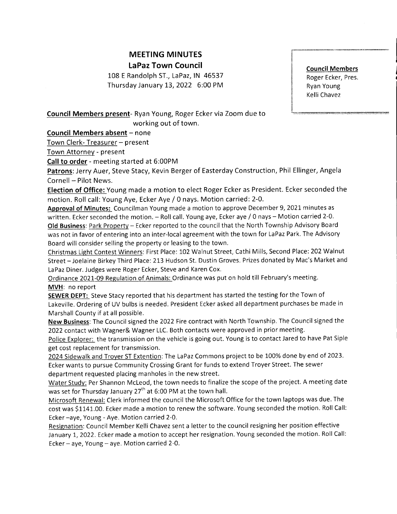## MEETING MINUTES LaPaz Town Council

108 E Randolph ST., LaPaz, IN 46537 Thursday January 13, 2022 6:00 PM Council Members Roger Ecker, Pres. Ryan Young Kelli Chavez

## Council Members present- Ryan Young, Roger Ecker via Zoom due to working out of town.

Council Members absent - none

Town Clerk- Treasurer - present

Town Attornev - present

Call to order - meeting started at 6:00PM

**Patrons**: Jerry Auer, Steve Stacy, Kevin Berger of Easterday Construction, Phil Ellinger, Angela Cornell - Pilot News.

Election of Office: Young made a motion to elect Roger Ecker as President. Ecker seconded the motion. Roll call: Young Aye, Ecker Aye / 0 nays. Motion carried: 2-0.

Approval of Minutes: Councilman Young made a motion to approve December 9, 2021 minutes as written. Ecker seconded the motion. - Roll call. Young aye, Ecker aye / 0 nays - Motion carried 2-0. Old Business: Park Property - Ecker reported to the council that the North Township Advisory Board was not in favor of entering into an inter-local agreement with the town for LaPaz Park. The Advisory Board will consider selling the property or leasing to the town.

Christmas Light Contest Winners: First Place: 102 Walnut Street, Cathi Mills, Second Place: 202 Walnut Street - Joelaine Birkey Third Place: 213 Hudson St. Dustin Groves. Prizes donated by Mac's Market and LaPaz Diner. Judges were Roger Ecker, Steve and Karen Cox.

Ordinance 2021-09 Regulation of Animals: Ordinance was put on hold till February's meeting. MVH: no report

SEWER DEPT: Steve Stacy reported that his department has started the testing for the Town of Lakeville. Ordering of UV bulbs is needed. President Ecker asked all department purchases be made in Marshall County if at all possible.

New Business: The Council signed the 2022 Fire contract with North Township. The Council signed the 2022 contact with Wagner& Wagner LLC. Both contacts were approved in prior meeting.

Police Explorer: the transmission on the vehicle is going out. Young is to contact Jared to have Pat Siple get cost replacement for transmission.

2024 Sidewalk and Trover ST Extention: The LaPaz Commons project to be 100% done by end of 2023. Ecker wants to pursue Community Crossing Grant for funds to extend Troyer Street. The sewer department requested placing manholes in the new street.

Water Study: Per Shannon McLeod, the town needs to finalize the scope of the project. A meeting date was set for Thursday January 27<sup>th</sup> at 6:00 PM at the town hall.

Microsoft Renewal: Clerk informed the council the Microsoft Office for the town laptops was due. The cost was S1141.00. Ecker made a motion to renew the software. Young seconded the motion, Roll Call: Ecker -aye, Young - Aye. Motion carried 2-0.

Resignation: Council Member Kelli Chavez sent a letter to the council resigning her position effective January 1,2022. Ecker made a motion to accept her resignation. Young seconded the motion. RollCall: Ecker  $-$  aye, Young  $-$  aye. Motion carried 2-0.